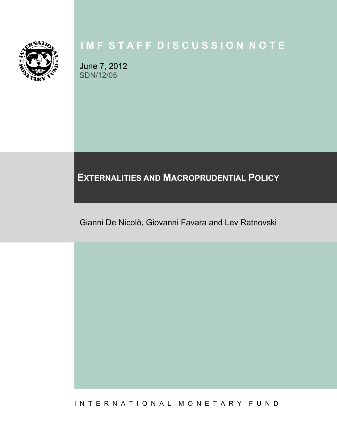

# **I M F S T A F F D I S C U S S I O N N O T E**

June 7, 2012 SDN/12/05

**EXTERNALITIES AND MACROPRUDENTIAL POLICY** 

Gianni De Nicolò, Giovanni Favara and Lev Ratnovski

I N T E R N A T I O N A L M O N E T A R Y F U N D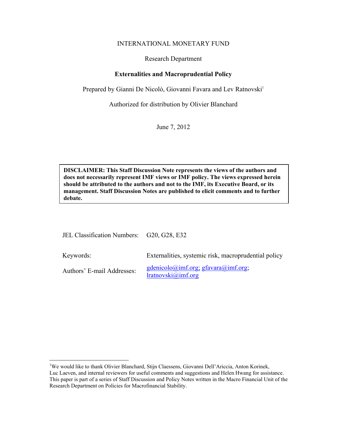#### INTERNATIONAL MONETARY FUND

#### Research Department

# **Externalities and Macroprudential Policy**

Prepared by Gianni De Nicolò, Giovanni Favara and Lev Ratnovski<sup>1</sup>

Authorized for distribution by Olivier Blanchard

June 7, 2012

**DISCLAIMER: This Staff Discussion Note represents the views of the authors and does not necessarily represent IMF views or IMF policy. The views expressed herein should be attributed to the authors and not to the IMF, its Executive Board, or its management. Staff Discussion Notes are published to elicit comments and to further debate.** 

| JEL Classification Numbers: G20, G28, E32 |                                                                                |
|-------------------------------------------|--------------------------------------------------------------------------------|
| Keywords:                                 | Externalities, systemic risk, macroprudential policy                           |
| Authors' E-mail Addresses:                | $gdenicolo(\omega)$ imf.org; gfavara $(\omega)$ imf.org;<br>Iratnovski@imf.org |

 1 We would like to thank Olivier Blanchard, Stijn Claessens, Giovanni Dell'Ariccia, Anton Korinek, Luc Laeven, and internal reviewers for useful comments and suggestions and Helen Hwang for assistance. This paper is part of a series of Staff Discussion and Policy Notes written in the Macro Financial Unit of the Research Department on Policies for Macrofinancial Stability.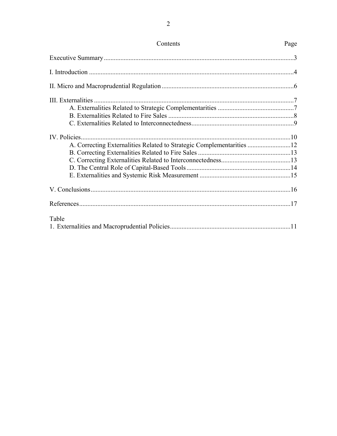| A. Correcting Externalities Related to Strategic Complementarities 12 |  |
|-----------------------------------------------------------------------|--|
|                                                                       |  |
|                                                                       |  |
|                                                                       |  |
|                                                                       |  |
|                                                                       |  |
|                                                                       |  |
| Table                                                                 |  |
|                                                                       |  |

 $\overline{c}$ 

# Page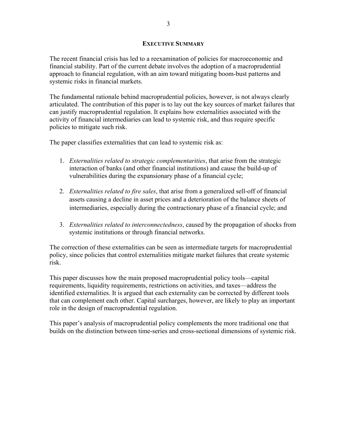# **EXECUTIVE SUMMARY**

The recent financial crisis has led to a reexamination of policies for macroeconomic and financial stability. Part of the current debate involves the adoption of a macroprudential approach to financial regulation, with an aim toward mitigating boom-bust patterns and systemic risks in financial markets.

The fundamental rationale behind macroprudential policies, however, is not always clearly articulated. The contribution of this paper is to lay out the key sources of market failures that can justify macroprudential regulation. It explains how externalities associated with the activity of financial intermediaries can lead to systemic risk, and thus require specific policies to mitigate such risk.

The paper classifies externalities that can lead to systemic risk as:

- 1. *Externalities related to strategic complementarities*, that arise from the strategic interaction of banks (and other financial institutions) and cause the build-up of vulnerabilities during the expansionary phase of a financial cycle;
- 2. *Externalities related to fire sales*, that arise from a generalized sell-off of financial assets causing a decline in asset prices and a deterioration of the balance sheets of intermediaries, especially during the contractionary phase of a financial cycle; and
- 3. *Externalities related to interconnectedness*, caused by the propagation of shocks from systemic institutions or through financial networks.

The correction of these externalities can be seen as intermediate targets for macroprudential policy, since policies that control externalities mitigate market failures that create systemic risk.

This paper discusses how the main proposed macroprudential policy tools—capital requirements, liquidity requirements, restrictions on activities, and taxes—address the identified externalities. It is argued that each externality can be corrected by different tools that can complement each other. Capital surcharges, however, are likely to play an important role in the design of macroprudential regulation.

This paper's analysis of macroprudential policy complements the more traditional one that builds on the distinction between time-series and cross-sectional dimensions of systemic risk.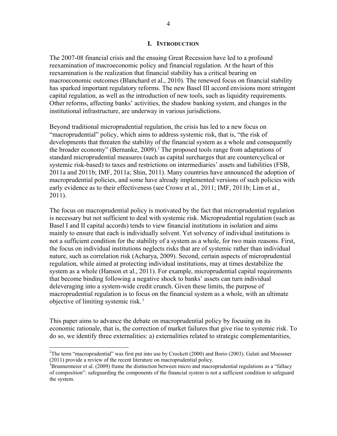#### **I. INTRODUCTION**

The 2007-08 financial crisis and the ensuing Great Recession have led to a profound reexamination of macroeconomic policy and financial regulation. At the heart of this reexamination is the realization that financial stability has a critical bearing on macroeconomic outcomes (Blanchard et al., 2010). The renewed focus on financial stability has sparked important regulatory reforms. The new Basel III accord envisions more stringent capital regulation, as well as the introduction of new tools, such as liquidity requirements. Other reforms, affecting banks' activities, the shadow banking system, and changes in the institutional infrastructure, are underway in various jurisdictions.

Beyond traditional microprudential regulation, the crisis has led to a new focus on "macroprudential" policy, which aims to address systemic risk, that is, "the risk of developments that threaten the stability of the financial system as a whole and consequently the broader economy" (Bernanke, 2009).<sup>2</sup> The proposed tools range from adaptations of standard microprudential measures (such as capital surcharges that are countercyclical or systemic risk-based) to taxes and restrictions on intermediaries' assets and liabilities (FSB, 2011a and 2011b; IMF, 2011a; Shin, 2011). Many countries have announced the adoption of macroprudential policies, and some have already implemented versions of such policies with early evidence as to their effectiveness (see Crowe et al., 2011; IMF, 2011b; Lim et al., 2011).

The focus on macroprudential policy is motivated by the fact that microprudential regulation is necessary but not sufficient to deal with systemic risk. Microprudential regulation (such as Basel I and II capital accords) tends to view financial institutions in isolation and aims mainly to ensure that each is individually solvent. Yet solvency of individual institutions is not a sufficient condition for the stability of a system as a whole, for two main reasons. First, the focus on individual institutions neglects risks that are of systemic rather than individual nature, such as correlation risk (Acharya, 2009). Second, certain aspects of microprudential regulation, while aimed at protecting individual institutions, may at times destabilize the system as a whole (Hanson et al., 2011). For example, microprudential capital requirements that become binding following a negative shock to banks' assets can turn individual deleveraging into a system-wide credit crunch. Given these limits, the purpose of macroprudential regulation is to focus on the financial system as a whole, with an ultimate objective of limiting systemic risk. 3

This paper aims to advance the debate on macroprudential policy by focusing on its economic rationale, that is, the correction of market failures that give rise to systemic risk. To do so, we identify three externalities: a) externalities related to strategic complementarities,

 $\overline{a}$ 

<sup>&</sup>lt;sup>2</sup>The term "macroprudential" was first put into use by Crockett (2000) and Borio (2003). Galati and Moessner (2011) provide a review of the recent literature on macroprudential policy. 3

 ${}^{3}$ Brunnermeier et al. (2009) frame the distinction between micro and macroprudential regulations as a "fallacy" of composition": safeguarding the components of the financial system is not a sufficient condition to safeguard the system.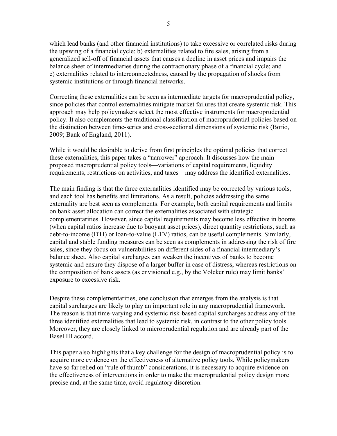which lead banks (and other financial institutions) to take excessive or correlated risks during the upswing of a financial cycle; b) externalities related to fire sales, arising from a generalized sell-off of financial assets that causes a decline in asset prices and impairs the balance sheet of intermediaries during the contractionary phase of a financial cycle; and c) externalities related to interconnectedness, caused by the propagation of shocks from systemic institutions or through financial networks.

Correcting these externalities can be seen as intermediate targets for macroprudential policy, since policies that control externalities mitigate market failures that create systemic risk. This approach may help policymakers select the most effective instruments for macroprudential policy. It also complements the traditional classification of macroprudential policies based on the distinction between time-series and cross-sectional dimensions of systemic risk (Borio, 2009; Bank of England, 2011).

While it would be desirable to derive from first principles the optimal policies that correct these externalities, this paper takes a "narrower" approach. It discusses how the main proposed macroprudential policy tools—variations of capital requirements, liquidity requirements, restrictions on activities, and taxes—may address the identified externalities.

The main finding is that the three externalities identified may be corrected by various tools, and each tool has benefits and limitations. As a result, policies addressing the same externality are best seen as complements. For example, both capital requirements and limits on bank asset allocation can correct the externalities associated with strategic complementarities. However, since capital requirements may become less effective in booms (when capital ratios increase due to buoyant asset prices), direct quantity restrictions, such as debt-to-income (DTI) or loan-to-value (LTV) ratios, can be useful complements. Similarly, capital and stable funding measures can be seen as complements in addressing the risk of fire sales, since they focus on vulnerabilities on different sides of a financial intermediary's balance sheet. Also capital surcharges can weaken the incentives of banks to become systemic and ensure they dispose of a larger buffer in case of distress, whereas restrictions on the composition of bank assets (as envisioned e.g., by the Volcker rule) may limit banks' exposure to excessive risk.

Despite these complementarities, one conclusion that emerges from the analysis is that capital surcharges are likely to play an important role in any macroprudential framework. The reason is that time-varying and systemic risk-based capital surcharges address any of the three identified externalities that lead to systemic risk, in contrast to the other policy tools. Moreover, they are closely linked to microprudential regulation and are already part of the Basel III accord.

This paper also highlights that a key challenge for the design of macroprudential policy is to acquire more evidence on the effectiveness of alternative policy tools. While policymakers have so far relied on "rule of thumb" considerations, it is necessary to acquire evidence on the effectiveness of interventions in order to make the macroprudential policy design more precise and, at the same time, avoid regulatory discretion.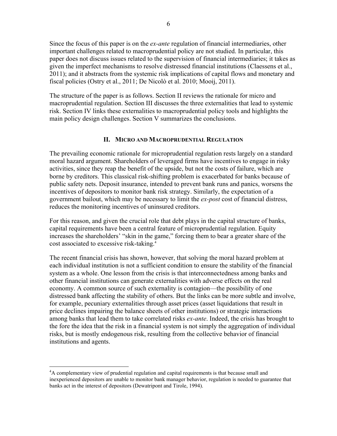Since the focus of this paper is on the *ex-ante* regulation of financial intermediaries, other important challenges related to macroprudential policy are not studied. In particular, this paper does not discuss issues related to the supervision of financial intermediaries; it takes as given the imperfect mechanisms to resolve distressed financial institutions (Claessens et al., 2011); and it abstracts from the systemic risk implications of capital flows and monetary and fiscal policies (Ostry et al., 2011; De Nicolò et al. 2010; Mooij, 2011).

The structure of the paper is as follows. Section II reviews the rationale for micro and macroprudential regulation. Section III discusses the three externalities that lead to systemic risk. Section IV links these externalities to macroprudential policy tools and highlights the main policy design challenges. Section V summarizes the conclusions.

# **II. MICRO AND MACROPRUDENTIAL REGULATION**

The prevailing economic rationale for microprudential regulation rests largely on a standard moral hazard argument. Shareholders of leveraged firms have incentives to engage in risky activities, since they reap the benefit of the upside, but not the costs of failure, which are borne by creditors. This classical risk-shifting problem is exacerbated for banks because of public safety nets. Deposit insurance, intended to prevent bank runs and panics, worsens the incentives of depositors to monitor bank risk strategy. Similarly, the expectation of a government bailout, which may be necessary to limit the *ex-post* cost of financial distress, reduces the monitoring incentives of uninsured creditors.

For this reason, and given the crucial role that debt plays in the capital structure of banks, capital requirements have been a central feature of microprudential regulation. Equity increases the shareholders' "skin in the game," forcing them to bear a greater share of the cost associated to excessive risk-taking.4

The recent financial crisis has shown, however, that solving the moral hazard problem at each individual institution is not a sufficient condition to ensure the stability of the financial system as a whole. One lesson from the crisis is that interconnectedness among banks and other financial institutions can generate externalities with adverse effects on the real economy. A common source of such externality is contagion—the possibility of one distressed bank affecting the stability of others. But the links can be more subtle and involve, for example, pecuniary externalities through asset prices (asset liquidations that result in price declines impairing the balance sheets of other institutions) or strategic interactions among banks that lead them to take correlated risks *ex-ante*. Indeed, the crisis has brought to the fore the idea that the risk in a financial system is not simply the aggregation of individual risks, but is mostly endogenous risk, resulting from the collective behavior of financial institutions and agents.

<u>.</u>

<sup>&</sup>lt;sup>4</sup>A complementary view of prudential regulation and capital requirements is that because small and inexperienced depositors are unable to monitor bank manager behavior, regulation is needed to guarantee that banks act in the interest of depositors (Dewatripont and Tirole, 1994).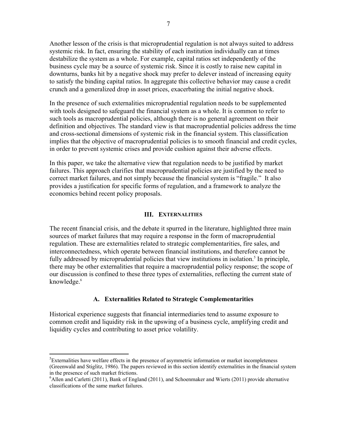Another lesson of the crisis is that microprudential regulation is not always suited to address systemic risk. In fact, ensuring the stability of each institution individually can at times destabilize the system as a whole. For example, capital ratios set independently of the business cycle may be a source of systemic risk. Since it is costly to raise new capital in downturns, banks hit by a negative shock may prefer to delever instead of increasing equity to satisfy the binding capital ratios. In aggregate this collective behavior may cause a credit crunch and a generalized drop in asset prices, exacerbating the initial negative shock.

In the presence of such externalities microprudential regulation needs to be supplemented with tools designed to safeguard the financial system as a whole. It is common to refer to such tools as macroprudential policies, although there is no general agreement on their definition and objectives. The standard view is that macroprudential policies address the time and cross-sectional dimensions of systemic risk in the financial system. This classification implies that the objective of macroprudential policies is to smooth financial and credit cycles, in order to prevent systemic crises and provide cushion against their adverse effects.

In this paper, we take the alternative view that regulation needs to be justified by market failures. This approach clarifies that macroprudential policies are justified by the need to correct market failures, and not simply because the financial system is "fragile." It also provides a justification for specific forms of regulation, and a framework to analyze the economics behind recent policy proposals.

#### **III. EXTERNALITIES**

The recent financial crisis, and the debate it spurred in the literature, highlighted three main sources of market failures that may require a response in the form of macroprudential regulation. These are externalities related to strategic complementarities, fire sales, and interconnectedness, which operate between financial institutions, and therefore cannot be fully addressed by microprudential policies that view institutions in isolation.<sup>5</sup> In principle, there may be other externalities that require a macroprudential policy response; the scope of our discussion is confined to these three types of externalities, reflecting the current state of knowledge.<sup>6</sup>

#### **A. Externalities Related to Strategic Complementarities**

Historical experience suggests that financial intermediaries tend to assume exposure to common credit and liquidity risk in the upswing of a business cycle, amplifying credit and liquidity cycles and contributing to asset price volatility.

1

<sup>&</sup>lt;sup>5</sup>Externalities have welfare effects in the presence of asymmetric information or market incompleteness (Greenwald and Stiglitz, 1986). The papers reviewed in this section identify externalities in the financial system in the presence of such market frictions. 6

 $<sup>6</sup>$ Allen and Carletti (2011), Bank of England (2011), and Schoenmaker and Wierts (2011) provide alternative</sup> classifications of the same market failures.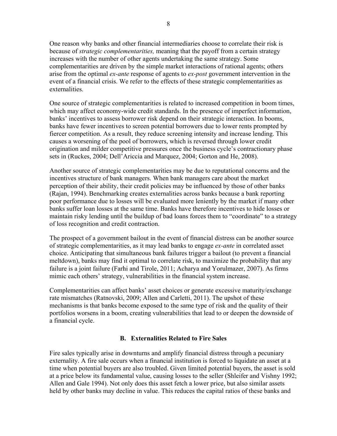One reason why banks and other financial intermediaries choose to correlate their risk is because of *strategic complementarities,* meaning that the payoff from a certain strategy increases with the number of other agents undertaking the same strategy. Some complementarities are driven by the simple market interactions of rational agents; others arise from the optimal *ex-ante* response of agents to *ex-post* government intervention in the event of a financial crisis. We refer to the effects of these strategic complementarities as externalities.

One source of strategic complementarities is related to increased competition in boom times, which may affect economy-wide credit standards. In the presence of imperfect information, banks' incentives to assess borrower risk depend on their strategic interaction. In booms, banks have fewer incentives to screen potential borrowers due to lower rents prompted by fiercer competition. As a result, they reduce screening intensity and increase lending. This causes a worsening of the pool of borrowers, which is reversed through lower credit origination and milder competitive pressures once the business cycle's contractionary phase sets in (Ruckes, 2004; Dell'Ariccia and Marquez, 2004; Gorton and He, 2008).

Another source of strategic complementarities may be due to reputational concerns and the incentives structure of bank managers. When bank managers care about the market perception of their ability, their credit policies may be influenced by those of other banks (Rajan, 1994). Benchmarking creates externalities across banks because a bank reporting poor performance due to losses will be evaluated more leniently by the market if many other banks suffer loan losses at the same time. Banks have therefore incentives to hide losses or maintain risky lending until the buildup of bad loans forces them to "coordinate" to a strategy of loss recognition and credit contraction.

The prospect of a government bailout in the event of financial distress can be another source of strategic complementarities, as it may lead banks to engage *ex-ante* in correlated asset choice. Anticipating that simultaneous bank failures trigger a bailout (to prevent a financial meltdown), banks may find it optimal to correlate risk, to maximize the probability that any failure is a joint failure (Farhi and Tirole, 2011; Acharya and Yorulmazer, 2007). As firms mimic each others' strategy, vulnerabilities in the financial system increase.

Complementarities can affect banks' asset choices or generate excessive maturity/exchange rate mismatches (Ratnovski, 2009; Allen and Carletti, 2011). The upshot of these mechanisms is that banks become exposed to the same type of risk and the quality of their portfolios worsens in a boom, creating vulnerabilities that lead to or deepen the downside of a financial cycle.

# **B. Externalities Related to Fire Sales**

Fire sales typically arise in downturns and amplify financial distress through a pecuniary externality. A fire sale occurs when a financial institution is forced to liquidate an asset at a time when potential buyers are also troubled. Given limited potential buyers, the asset is sold at a price below its fundamental value, causing losses to the seller (Shleifer and Vishny 1992; Allen and Gale 1994). Not only does this asset fetch a lower price, but also similar assets held by other banks may decline in value. This reduces the capital ratios of these banks and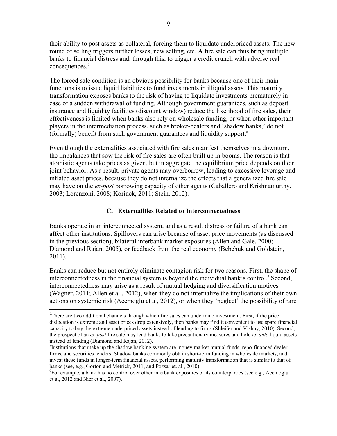their ability to post assets as collateral, forcing them to liquidate underpriced assets. The new round of selling triggers further losses, new selling, etc. A fire sale can thus bring multiple banks to financial distress and, through this, to trigger a credit crunch with adverse real consequences.<sup>7</sup>

The forced sale condition is an obvious possibility for banks because one of their main functions is to issue liquid liabilities to fund investments in illiquid assets. This maturity transformation exposes banks to the risk of having to liquidate investments prematurely in case of a sudden withdrawal of funding. Although government guarantees, such as deposit insurance and liquidity facilities (discount window) reduce the likelihood of fire sales, their effectiveness is limited when banks also rely on wholesale funding, or when other important players in the intermediation process, such as broker-dealers and 'shadow banks,' do not (formally) benefit from such government guarantees and liquidity support.8

Even though the externalities associated with fire sales manifest themselves in a downturn, the imbalances that sow the risk of fire sales are often built up in booms. The reason is that atomistic agents take prices as given, but in aggregate the equilibrium price depends on their joint behavior. As a result, private agents may overborrow, leading to excessive leverage and inflated asset prices, because they do not internalize the effects that a generalized fire sale may have on the *ex-post* borrowing capacity of other agents (Caballero and Krishnamurthy, 2003; Lorenzoni, 2008; Korinek, 2011; Stein, 2012).

#### **C. Externalities Related to Interconnectedness**

Banks operate in an interconnected system, and as a result distress or failure of a bank can affect other institutions. Spillovers can arise because of asset price movements (as discussed in the previous section), bilateral interbank market exposures (Allen and Gale, 2000; Diamond and Rajan, 2005), or feedback from the real economy (Bebchuk and Goldstein, 2011).

Banks can reduce but not entirely eliminate contagion risk for two reasons. First, the shape of interconnectedness in the financial system is beyond the individual bank's control.<sup>9</sup> Second, interconnectedness may arise as a result of mutual hedging and diversification motives (Wagner, 2011; Allen et al., 2012), when they do not internalize the implications of their own actions on systemic risk (Acemoglu et al, 2012), or when they 'neglect' the possibility of rare

1

 $7$ There are two additional channels through which fire sales can undermine investment. First, if the price dislocation is extreme and asset prices drop extensively, then banks may find it convenient to use spare financial capacity to buy the extreme underpriced assets instead of lending to firms (Shleifer and Vishny, 2010). Second, the prospect of an *ex-post* fire sale may lead banks to take precautionary measures and hold *ex-ante* liquid assets instead of lending (Diamond and Rajan, 2012).

<sup>&</sup>lt;sup>8</sup>Institutions that make up the shadow banking system are money market mutual funds, repo-financed dealer firms, and securities lenders. Shadow banks commonly obtain short-term funding in wholesale markets, and invest these funds in longer-term financial assets, performing maturity transformation that is similar to that of banks (see, e.g., Gorton and Metrick, 2011, and Pozsar et. al., 2010).

<sup>&</sup>lt;sup>9</sup>For example, a bank has no control over other interbank exposures of its counterparties (see e.g., Acemoglu et al, 2012 and Nier et al., 2007).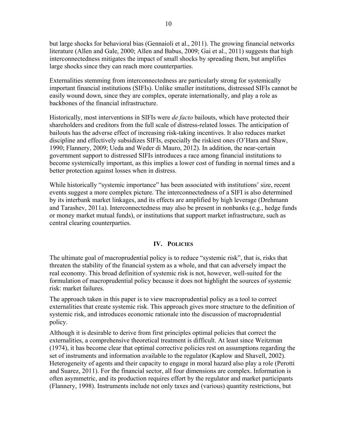but large shocks for behavioral bias (Gennaioli et al., 2011). The growing financial networks literature (Allen and Gale, 2000; Allen and Babus, 2009; Gai et al., 2011) suggests that high interconnectedness mitigates the impact of small shocks by spreading them, but amplifies large shocks since they can reach more counterparties.

Externalities stemming from interconnectedness are particularly strong for systemically important financial institutions (SIFIs). Unlike smaller institutions, distressed SIFIs cannot be easily wound down, since they are complex, operate internationally, and play a role as backbones of the financial infrastructure.

Historically, most interventions in SIFIs were *de facto* bailouts, which have protected their shareholders and creditors from the full scale of distress-related losses. The anticipation of bailouts has the adverse effect of increasing risk-taking incentives. It also reduces market discipline and effectively subsidizes SIFIs, especially the riskiest ones (O'Hara and Shaw, 1990; Flannery, 2009; Ueda and Weder di Mauro, 2012). In addition, the near-certain government support to distressed SIFIs introduces a race among financial institutions to become systemically important, as this implies a lower cost of funding in normal times and a better protection against losses when in distress.

While historically "systemic importance" has been associated with institutions' size, recent events suggest a more complex picture. The interconnectedness of a SIFI is also determined by its interbank market linkages, and its effects are amplified by high leverage (Drehmann and Tarashev, 2011a). Interconnectedness may also be present in nonbanks (e.g., hedge funds or money market mutual funds), or institutions that support market infrastructure, such as central clearing counterparties.

# **IV. POLICIES**

The ultimate goal of macroprudential policy is to reduce "systemic risk", that is, risks that threaten the stability of the financial system as a whole, and that can adversely impact the real economy. This broad definition of systemic risk is not, however, well-suited for the formulation of macroprudential policy because it does not highlight the sources of systemic risk: market failures.

The approach taken in this paper is to view macroprudential policy as a tool to correct externalities that create systemic risk. This approach gives more structure to the definition of systemic risk, and introduces economic rationale into the discussion of macroprudential policy.

Although it is desirable to derive from first principles optimal policies that correct the externalities, a comprehensive theoretical treatment is difficult. At least since Weitzman (1974), it has become clear that optimal corrective policies rest on assumptions regarding the set of instruments and information available to the regulator (Kaplow and Shavell, 2002). Heterogeneity of agents and their capacity to engage in moral hazard also play a role (Perotti and Suarez, 2011). For the financial sector, all four dimensions are complex. Information is often asymmetric, and its production requires effort by the regulator and market participants (Flannery, 1998). Instruments include not only taxes and (various) quantity restrictions, but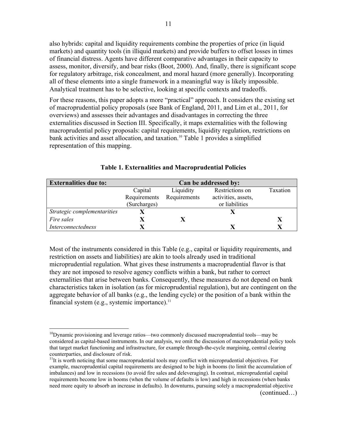also hybrids: capital and liquidity requirements combine the properties of price (in liquid markets) and quantity tools (in illiquid markets) and provide buffers to offset losses in times of financial distress. Agents have different comparative advantages in their capacity to assess, monitor, diversify, and bear risks (Boot, 2000). And, finally, there is significant scope for regulatory arbitrage, risk concealment, and moral hazard (more generally). Incorporating all of these elements into a single framework in a meaningful way is likely impossible. Analytical treatment has to be selective, looking at specific contexts and tradeoffs.

For these reasons, this paper adopts a more "practical" approach. It considers the existing set of macroprudential policy proposals (see Bank of England, 2011, and Lim et al., 2011, for overviews) and assesses their advantages and disadvantages in correcting the three externalities discussed in Section III. Specifically, it maps externalities with the following macroprudential policy proposals: capital requirements, liquidity regulation, restrictions on bank activities and asset allocation, and taxation.10 Table 1 provides a simplified representation of this mapping.

| <b>Externalities due to:</b> | Can be addressed by: |              |                     |          |  |  |
|------------------------------|----------------------|--------------|---------------------|----------|--|--|
|                              | Capital              | Liquidity    | Restrictions on     | Taxation |  |  |
|                              | Requirements         | Requirements | activities, assets, |          |  |  |
|                              | (Surcharges)         |              | or liabilities      |          |  |  |
| Strategic complementarities  |                      |              |                     |          |  |  |
| Fire sales                   |                      |              |                     |          |  |  |
| <i>Interconnectedness</i>    |                      |              |                     |          |  |  |

#### **Table 1. Externalities and Macroprudential Policies**

Most of the instruments considered in this Table (e.g., capital or liquidity requirements, and restriction on assets and liabilities) are akin to tools already used in traditional microprudential regulation. What gives these instruments a macroprudential flavor is that they are not imposed to resolve agency conflicts within a bank, but rather to correct externalities that arise between banks. Consequently, these measures do not depend on bank characteristics taken in isolation (as for microprudential regulation), but are contingent on the aggregate behavior of all banks (e.g., the lending cycle) or the position of a bank within the financial system (e.g., systemic importance).<sup>11</sup>

 $\overline{a}$ 

 $10$ Dynamic provisioning and leverage ratios—two commonly discussed macroprudential tools—may be considered as capital-based instruments. In our analysis, we omit the discussion of macroprudential policy tools that target market functioning and infrastructure, for example through-the-cycle margining, central clearing counterparties, and disclosure of risk.

 $11$ It is worth noticing that some macroprudential tools may conflict with microprudential objectives. For example, macroprudential capital requirements are designed to be high in booms (to limit the accumulation of imbalances) and low in recessions (to avoid fire sales and deleveraging). In contrast, microprudential capital requirements become low in booms (when the volume of defaults is low) and high in recessions (when banks need more equity to absorb an increase in defaults). In downturns, pursuing solely a macroprudential objective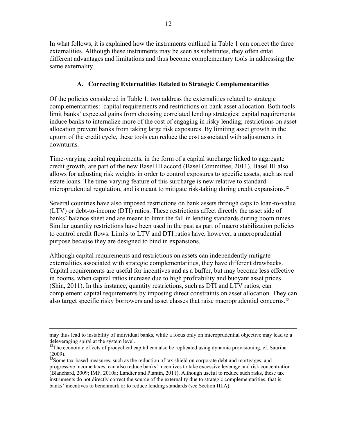In what follows, it is explained how the instruments outlined in Table 1 can correct the three externalities. Although these instruments may be seen as substitutes, they often entail different advantages and limitations and thus become complementary tools in addressing the same externality.

# **A. Correcting Externalities Related to Strategic Complementarities**

Of the policies considered in Table 1, two address the externalities related to strategic complementarities: capital requirements and restrictions on bank asset allocation. Both tools limit banks' expected gains from choosing correlated lending strategies: capital requirements induce banks to internalize more of the cost of engaging in risky lending; restrictions on asset allocation prevent banks from taking large risk exposures. By limiting asset growth in the upturn of the credit cycle, these tools can reduce the cost associated with adjustments in downturns.

Time-varying capital requirements, in the form of a capital surcharge linked to aggregate credit growth, are part of the new Basel III accord (Basel Committee, 2011). Basel III also allows for adjusting risk weights in order to control exposures to specific assets, such as real estate loans. The time-varying feature of this surcharge is new relative to standard microprudential regulation, and is meant to mitigate risk-taking during credit expansions.<sup>12</sup>

Several countries have also imposed restrictions on bank assets through caps to loan-to-value (LTV) or debt-to-income (DTI) ratios. These restrictions affect directly the asset side of banks' balance sheet and are meant to limit the fall in lending standards during boom times. Similar quantity restrictions have been used in the past as part of macro stabilization policies to control credit flows. Limits to LTV and DTI ratios have, however, a macroprudential purpose because they are designed to bind in expansions.

Although capital requirements and restrictions on assets can independently mitigate externalities associated with strategic complementarities, they have different drawbacks. Capital requirements are useful for incentives and as a buffer, but may become less effective in booms, when capital ratios increase due to high profitability and buoyant asset prices (Shin, 2011). In this instance, quantity restrictions, such as DTI and LTV ratios, can complement capital requirements by imposing direct constraints on asset allocation. They can also target specific risky borrowers and asset classes that raise macroprudential concerns.<sup>13</sup>

may thus lead to instability of individual banks, while a focus only on microprudential objective may lead to a deleveraging spiral at the system level.

<sup>&</sup>lt;sup>12</sup>The economic effects of procyclical capital can also be replicated using dynamic provisioning, cf. Saurina (2009).

<sup>&</sup>lt;sup>13</sup>Some tax-based measures, such as the reduction of tax shield on corporate debt and mortgages, and progressive income taxes, can also reduce banks' incentives to take excessive leverage and risk concentration (Blanchard, 2009; IMF, 2010a; Landier and Plantin, 2011). Although useful to reduce such risks, these tax instruments do not directly correct the source of the externality due to strategic complementarities, that is banks' incentives to benchmark or to reduce lending standards (see Section III.A).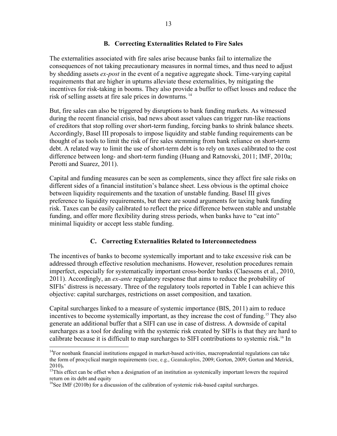# **B. Correcting Externalities Related to Fire Sales**

The externalities associated with fire sales arise because banks fail to internalize the consequences of not taking precautionary measures in normal times, and thus need to adjust by shedding assets *ex-post* in the event of a negative aggregate shock. Time-varying capital requirements that are higher in upturns alleviate these externalities, by mitigating the incentives for risk-taking in booms. They also provide a buffer to offset losses and reduce the risk of selling assets at fire sale prices in downturns. 14

But, fire sales can also be triggered by disruptions to bank funding markets. As witnessed during the recent financial crisis, bad news about asset values can trigger run-like reactions of creditors that stop rolling over short-term funding, forcing banks to shrink balance sheets. Accordingly, Basel III proposals to impose liquidity and stable funding requirements can be thought of as tools to limit the risk of fire sales stemming from bank reliance on short-term debt. A related way to limit the use of short-term debt is to rely on taxes calibrated to the cost difference between long- and short-term funding (Huang and Ratnovski, 2011; IMF, 2010a; Perotti and Suarez, 2011).

Capital and funding measures can be seen as complements, since they affect fire sale risks on different sides of a financial institution's balance sheet. Less obvious is the optimal choice between liquidity requirements and the taxation of unstable funding. Basel III gives preference to liquidity requirements, but there are sound arguments for taxing bank funding risk. Taxes can be easily calibrated to reflect the price difference between stable and unstable funding, and offer more flexibility during stress periods, when banks have to "eat into" minimal liquidity or accept less stable funding.

# **C. Correcting Externalities Related to Interconnectedness**

The incentives of banks to become systemically important and to take excessive risk can be addressed through effective resolution mechanisms. However, resolution procedures remain imperfect, especially for systematically important cross-border banks (Claessens et al., 2010, 2011). Accordingly, an *ex-ante* regulatory response that aims to reduce the probability of SIFIs' distress is necessary. Three of the regulatory tools reported in Table I can achieve this objective: capital surcharges, restrictions on asset composition, and taxation.

Capital surcharges linked to a measure of systemic importance (BIS, 2011) aim to reduce incentives to become systemically important, as they increase the cost of funding.<sup>15</sup> They also generate an additional buffer that a SIFI can use in case of distress. A downside of capital surcharges as a tool for dealing with the systemic risk created by SIFIs is that they are hard to calibrate because it is difficult to map surcharges to SIFI contributions to systemic risk.16 In

 $\overline{a}$ 

<sup>&</sup>lt;sup>14</sup>For nonbank financial institutions engaged in market-based activities, macroprudential regulations can take the form of procyclical margin requirements (see, e.g., Geanakoplos, 2009; Gorton, 2009; Gorton and Metrick,

<sup>2010)</sup>**.** 15This effect can be offset when a designation of an institution as systemically important lowers the required return on its debt and equity

<sup>&</sup>lt;sup>16</sup>See IMF (2010b) for a discussion of the calibration of systemic risk-based capital surcharges.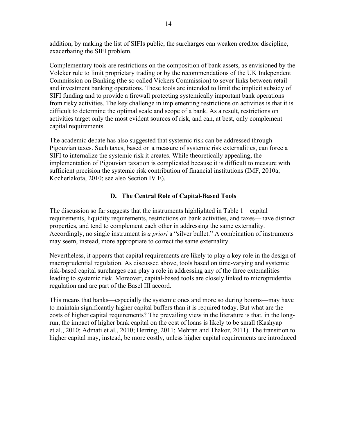addition, by making the list of SIFIs public, the surcharges can weaken creditor discipline, exacerbating the SIFI problem.

Complementary tools are restrictions on the composition of bank assets, as envisioned by the Volcker rule to limit proprietary trading or by the recommendations of the UK Independent Commission on Banking (the so called Vickers Commission) to sever links between retail and investment banking operations. These tools are intended to limit the implicit subsidy of SIFI funding and to provide a firewall protecting systemically important bank operations from risky activities. The key challenge in implementing restrictions on activities is that it is difficult to determine the optimal scale and scope of a bank. As a result, restrictions on activities target only the most evident sources of risk, and can, at best, only complement capital requirements.

The academic debate has also suggested that systemic risk can be addressed through Pigouvian taxes. Such taxes, based on a measure of systemic risk externalities, can force a SIFI to internalize the systemic risk it creates. While theoretically appealing, the implementation of Pigouvian taxation is complicated because it is difficult to measure with sufficient precision the systemic risk contribution of financial institutions (IMF, 2010a; Kocherlakota, 2010; see also Section IV E).

# **D. The Central Role of Capital-Based Tools**

The discussion so far suggests that the instruments highlighted in Table 1—capital requirements, liquidity requirements, restrictions on bank activities, and taxes—have distinct properties, and tend to complement each other in addressing the same externality. Accordingly, no single instrument is *a priori* a "silver bullet." A combination of instruments may seem, instead, more appropriate to correct the same externality.

Nevertheless, it appears that capital requirements are likely to play a key role in the design of macroprudential regulation. As discussed above, tools based on time-varying and systemic risk-based capital surcharges can play a role in addressing any of the three externalities leading to systemic risk. Moreover, capital-based tools are closely linked to microprudential regulation and are part of the Basel III accord.

This means that banks—especially the systemic ones and more so during booms—may have to maintain significantly higher capital buffers than it is required today. But what are the costs of higher capital requirements? The prevailing view in the literature is that, in the longrun, the impact of higher bank capital on the cost of loans is likely to be small (Kashyap et al., 2010; Admati et al., 2010; Herring, 2011; Mehran and Thakor, 2011). The transition to higher capital may, instead, be more costly, unless higher capital requirements are introduced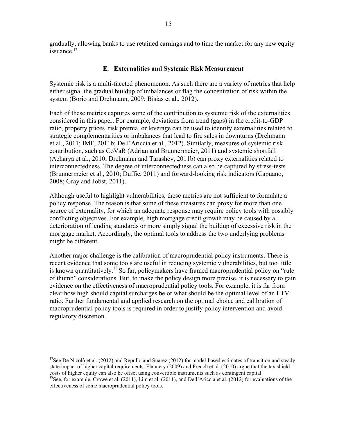gradually, allowing banks to use retained earnings and to time the market for any new equity issuance.<sup>17</sup>

# **E. Externalities and Systemic Risk Measurement**

Systemic risk is a multi-faceted phenomenon. As such there are a variety of metrics that help either signal the gradual buildup of imbalances or flag the concentration of risk within the system (Borio and Drehmann, 2009; Bisias et al., 2012).

Each of these metrics captures some of the contribution to systemic risk of the externalities considered in this paper. For example, deviations from trend (gaps) in the credit-to-GDP ratio, property prices, risk premia, or leverage can be used to identify externalities related to strategic complementarities or imbalances that lead to fire sales in downturns (Drehmann et al., 2011; IMF, 2011b; Dell'Ariccia et al., 2012). Similarly, measures of systemic risk contribution, such as CoVaR (Adrian and Brunnermeier, 2011) and systemic shortfall (Acharya et al., 2010; Drehmann and Tarashev, 2011b) can proxy externalities related to interconnectedness. The degree of interconnectedness can also be captured by stress-tests (Brunnermeier et al., 2010; Duffie, 2011) and forward-looking risk indicators (Capuano, 2008; Gray and Jobst, 2011).

Although useful to highlight vulnerabilities, these metrics are not sufficient to formulate a policy response. The reason is that some of these measures can proxy for more than one source of externality, for which an adequate response may require policy tools with possibly conflicting objectives. For example, high mortgage credit growth may be caused by a deterioration of lending standards or more simply signal the buildup of excessive risk in the mortgage market. Accordingly, the optimal tools to address the two underlying problems might be different.

Another major challenge is the calibration of macroprudential policy instruments. There is recent evidence that some tools are useful in reducing systemic vulnerabilities, but too little is known quantitatively.<sup>18</sup> So far, policymakers have framed macroprudential policy on "rule" of thumb" considerations. But, to make the policy design more precise, it is necessary to gain evidence on the effectiveness of macroprudential policy tools. For example, it is far from clear how high should capital surcharges be or what should be the optimal level of an LTV ratio. Further fundamental and applied research on the optimal choice and calibration of macroprudential policy tools is required in order to justify policy intervention and avoid regulatory discretion.

 $17$ See De Nicolò et al. (2012) and Repullo and Suarez (2012) for model-based estimates of transition and steadystate impact of higher capital requirements. Flannery (2009) and French et al. (2010) argue that the tax shield costs of higher equity can also be offset using convertible instruments such as contingent capital. <sup>18</sup>See, for example, Crowe et al. (2011), Lim et al. (2011), and Dell'Ariccia et al. (2012) for evaluations of the effectiveness of some macroprudential policy tools.

1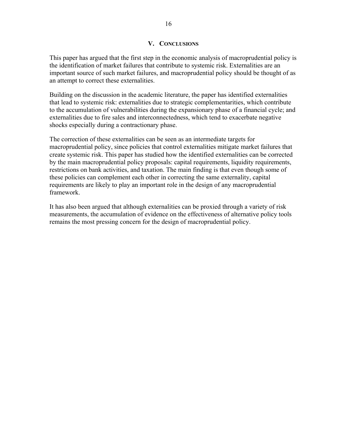# **V. CONCLUSIONS**

This paper has argued that the first step in the economic analysis of macroprudential policy is the identification of market failures that contribute to systemic risk. Externalities are an important source of such market failures, and macroprudential policy should be thought of as an attempt to correct these externalities.

Building on the discussion in the academic literature, the paper has identified externalities that lead to systemic risk: externalities due to strategic complementarities, which contribute to the accumulation of vulnerabilities during the expansionary phase of a financial cycle; and externalities due to fire sales and interconnectedness, which tend to exacerbate negative shocks especially during a contractionary phase.

The correction of these externalities can be seen as an intermediate targets for macroprudential policy, since policies that control externalities mitigate market failures that create systemic risk. This paper has studied how the identified externalities can be corrected by the main macroprudential policy proposals: capital requirements, liquidity requirements, restrictions on bank activities, and taxation. The main finding is that even though some of these policies can complement each other in correcting the same externality, capital requirements are likely to play an important role in the design of any macroprudential framework.

It has also been argued that although externalities can be proxied through a variety of risk measurements, the accumulation of evidence on the effectiveness of alternative policy tools remains the most pressing concern for the design of macroprudential policy.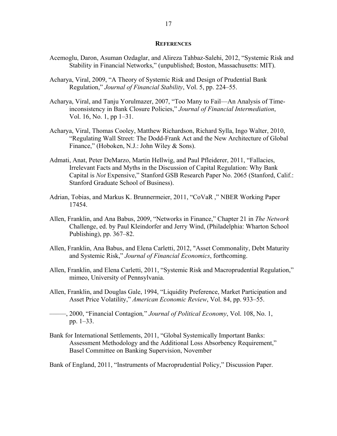#### **REFERENCES**

- Acemoglu, Daron, Asuman Ozdaglar, and Alireza Tahbaz-Salehi, 2012, "Systemic Risk and Stability in Financial Networks," (unpublished; Boston, Massachusetts: MIT).
- Acharya, Viral, 2009, "A Theory of Systemic Risk and Design of Prudential Bank Regulation," *Journal of Financial Stability*, Vol. 5, pp. 224–55.
- Acharya, Viral, and Tanju Yorulmazer, 2007, "Too Many to Fail—An Analysis of Timeinconsistency in Bank Closure Policies," *Journal of Financial Intermediation*, Vol. 16, No. 1, pp 1–31.
- Acharya, Viral, Thomas Cooley, Matthew Richardson, Richard Sylla, Ingo Walter, 2010, "Regulating Wall Street: The Dodd-Frank Act and the New Architecture of Global Finance," (Hoboken, N.J.: John Wiley & Sons).
- Admati, Anat, Peter DeMarzo, Martin Hellwig, and Paul Pfleiderer, 2011, "Fallacies, Irrelevant Facts and Myths in the Discussion of Capital Regulation: Why Bank Capital is *Not* Expensive," Stanford GSB Research Paper No. 2065 (Stanford, Calif.: Stanford Graduate School of Business).
- Adrian, Tobias, and Markus K. Brunnermeier, 2011, "CoVaR ," NBER Working Paper 17454.
- Allen, Franklin, and Ana Babus, 2009, "Networks in Finance," Chapter 21 in *The Network*  Challenge, ed. by Paul Kleindorfer and Jerry Wind, (Philadelphia: Wharton School Publishing), pp. 367–82.
- Allen, Franklin, Ana Babus, and Elena Carletti, 2012, "Asset Commonality, Debt Maturity and Systemic Risk," *Journal of Financial Economics*, forthcoming.
- Allen, Franklin, and Elena Carletti, 2011, "Systemic Risk and Macroprudential Regulation," mimeo, University of Pennsylvania.
- Allen, Franklin, and Douglas Gale, 1994, "Liquidity Preference, Market Participation and Asset Price Volatility," *American Economic Review*, Vol. 84, pp. 933–55.
- –––––, 2000, "Financial Contagion*,*" *Journal of Political Economy*, Vol. 108, No. 1, pp. 1–33.
- Bank for International Settlements, 2011, "Global Systemically Important Banks: Assessment Methodology and the Additional Loss Absorbency Requirement," Basel Committee on Banking Supervision, November
- Bank of England, 2011, "Instruments of Macroprudential Policy," Discussion Paper.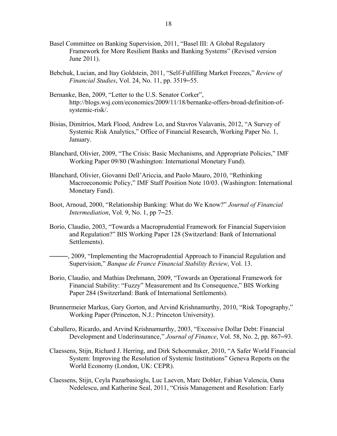- Basel Committee on Banking Supervision, 2011, "Basel III: A Global Regulatory Framework for More Resilient Banks and Banking Systems" (Revised version June 2011).
- Bebchuk, Lucian, and Itay Goldstein, 2011, "Self-Fulfilling Market Freezes," *Review of Financial Studies*, Vol. 24, No. 11, pp. 3519–55.
- Bernanke, Ben, 2009, "Letter to the U.S. Senator Corker", http://blogs.wsj.com/economics/2009/11/18/bernanke-offers-broad-definition-ofsystemic-risk/.
- Bisias, Dimitrios, Mark Flood, Andrew Lo, and Stavros Valavanis, 2012, "A Survey of Systemic Risk Analytics," Office of Financial Research, Working Paper No. 1, January.
- Blanchard, Olivier, 2009, "The Crisis: Basic Mechanisms, and Appropriate Policies," IMF Working Paper 09/80 (Washington: International Monetary Fund).
- Blanchard, Olivier, Giovanni Dell'Ariccia, and Paolo Mauro, 2010, "Rethinking Macroeconomic Policy," IMF Staff Position Note 10/03. (Washington: International Monetary Fund).
- Boot, Arnoud, 2000, "Relationship Banking: What do We Know?" *Journal of Financial Intermediation*, Vol. 9, No. 1, pp 7–25.
- Borio, Claudio, 2003, "Towards a Macroprudential Framework for Financial Supervision and Regulation?" BIS Working Paper 128 (Switzerland: Bank of International Settlements).
- –––––, 2009, "Implementing the Macroprudential Approach to Financial Regulation and Supervision," *Banque de France Financial Stability Review*, Vol. 13.
- Borio, Claudio, and Mathias Drehmann, 2009, "Towards an Operational Framework for Financial Stability: "Fuzzy" Measurement and Its Consequence," BIS Working Paper 284 (Switzerland: Bank of International Settlements).
- Brunnermeier Markus, Gary Gorton, and Arvind Krishnamurthy, 2010, "Risk Topography," Working Paper (Princeton, N.J.: Princeton University).
- Caballero, Ricardo, and Arvind Krishnamurthy, 2003, "Excessive Dollar Debt: Financial Development and Underinsurance," *Journal of Finance*, Vol. 58, No. 2, pp. 867–93.
- Claessens, Stijn, Richard J. Herring, and Dirk Schoenmaker, 2010, "A Safer World Financial System: Improving the Resolution of Systemic Institutions" Geneva Reports on the World Economy (London, UK: CEPR).
- Claessens, Stijn, Ceyla Pazarbasioglu, Luc Laeven, Marc Dobler, Fabian Valencia, Oana Nedelescu, and Katherine Seal, 2011, "Crisis Management and Resolution: Early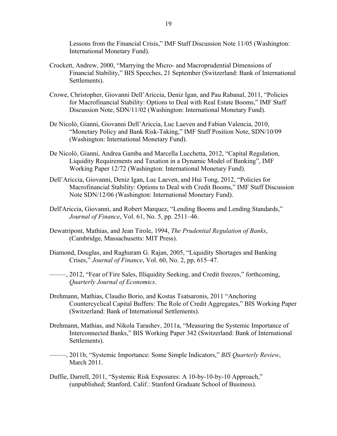Lessons from the Financial Crisis," IMF Staff Discussion Note 11/05 (Washington: International Monetary Fund).

- Crockett, Andrew, 2000, "Marrying the Micro- and Macroprudential Dimensions of Financial Stability," BIS Speeches, 21 September (Switzerland: Bank of International Settlements).
- Crowe, Christopher, Giovanni Dell'Ariccia, Deniz Igan, and Pau Rabanal, 2011, "Policies for Macrofinancial Stability: Options to Deal with Real Estate Booms," IMF Staff Discussion Note, SDN/11/02 (Washington: International Monetary Fund).
- De Nicolò, Gianni, Giovanni Dell'Ariccia, Luc Laeven and Fabian Valencia, 2010, "Monetary Policy and Bank Risk-Taking," IMF Staff Position Note, SDN/10/09 (Washington: International Monetary Fund).
- De Nicolò, Gianni, Andrea Gamba and Marcella Lucchetta, 2012, "Capital Regulation, Liquidity Requirements and Taxation in a Dynamic Model of Banking", IMF Working Paper 12/72 (Washington: International Monetary Fund).
- Dell'Ariccia, Giovanni, Deniz Igan, Luc Laeven, and Hui Tong, 2012, "Policies for Macrofinancial Stability: Options to Deal with Credit Booms," IMF Staff Discussion Note SDN/12/06 (Washington: International Monetary Fund).
- Dell'Ariccia, Giovanni, and Robert Marquez, "Lending Booms and Lending Standards," *Journal of Finance*, Vol. 61, No. 5, pp. 2511–46.
- Dewatripont, Mathias, and Jean Tirole, 1994, *The Prudential Regulation of Banks*, (Cambridge, Massachusetts: MIT Press).
- Diamond, Douglas, and Raghuram G. Rajan, 2005, "Liquidity Shortages and Banking Crises," *Journal of Finance*, Vol. 60, No. 2, pp, 615–47.
- –––––, 2012, "Fear of Fire Sales, Illiquidity Seeking, and Credit freezes," forthcoming, *Quarterly Journal of Economics*.
- Drehmann, Mathias, Claudio Borio, and Kostas Tsatsaronis, 2011 "Anchoring Countercyclical Capital Buffers: The Role of Credit Aggregates," BIS Working Paper (Switzerland: Bank of International Settlements).
- Drehmann, Mathias, and Nikola Tarashev, 2011a, "Measuring the Systemic Importance of Interconnected Banks," BIS Working Paper 342 (Switzerland: Bank of International Settlements).
- –––––, 2011b, "Systemic Importance: Some Simple Indicators," *BIS Quarterly Review*, March 2011.
- Duffie, Darrell, 2011, "Systemic Risk Exposures: A 10-by-10-by-10 Approach," (unpublished; Stanford, Calif.: Stanford Graduate School of Business).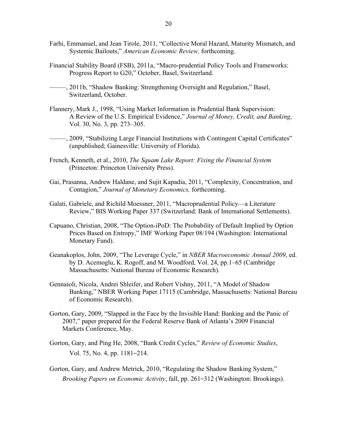- Farhi, Emmanuel, and Jean Tirole, 2011, "Collective Moral Hazard, Maturity Mismatch, and Systemic Bailouts," *American Economic Review,* forthcoming.
- Financial Stability Board (FSB), 2011a, "Macro-prudential Policy Tools and Frameworks: Progress Report to G20," October, Basel, Switzerland.
- –––––, 2011b, "Shadow Banking: Strengthening Oversight and Regulation," Basel, Switzerland, October.
- Flannery, Mark J., 1998, "Using Market Information in Prudential Bank Supervision: A Review of the U.S. Empirical Evidence," *Journal of Money, Credit, and Banking*, Vol. 30, No. 3, pp. 273–305.
- –––––, 2009, "Stabilizing Large Financial Institutions with Contingent Capital Certificates" (unpublished; Gainesville: University of Florida).
- French, Kenneth, et al., 2010, *The Squam Lake Report: Fixing the Financial System* (Princeton: Princeton University Press).
- Gai, Prasanna, Andrew Haldane, and Sujit Kapadia, 2011, "Complexity, Concentration, and Contagion," *Journal of Monetary Economics,* forthcoming.
- Galati, Gabriele, and Richild Moessner, 2011, "Macroprudential Policy—a Literature Review," BIS Working Paper 337 (Switzerland: Bank of International Settlements).
- Capuano, Christian, 2008, "The Option-iPoD: The Probability of Default Implied by Option Prices Based on Entropy," IMF Working Paper 08/194 (Washington: International Monetary Fund).
- Geanakoplos, John, 2009, "The Leverage Cycle," in *NBER Macroeconomic Annual 2009*, ed. by D. Acemoglu, K. Rogoff, and M. Woodford, Vol. 24, pp.1–65 (Cambridge Massachusetts: National Bureau of Economic Research).
- Gennaioli, Nicola, Andrei Shleifer, and Robert Vishny, 2011, "A Model of Shadow Banking," NBER Working Paper 17115 (Cambridge, Massachusetts: National Bureau of Economic Research).
- Gorton, Gary, 2009, "Slapped in the Face by the Invisible Hand: Banking and the Panic of 2007," paper prepared for the Federal Reserve Bank of Atlanta's 2009 Financial Markets Conference, May.
- Gorton, Gary, and Ping He, 2008, "Bank Credit Cycles," *Review of Economic Studies*, Vol. 75, No. 4, pp. 1181–214.
- Gorton, Gary, and Andrew Metrick, 2010, "Regulating the Shadow Banking System," *Brooking Papers on Economic Activity*, fall, pp. 261–312 (Washington: Brookings).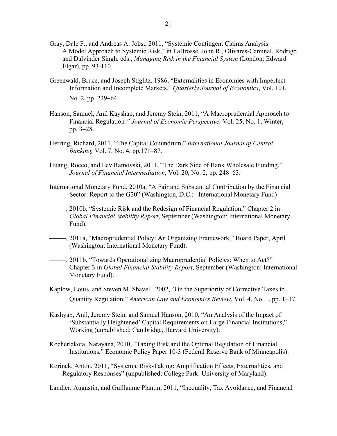- Gray, Dale F., and Andreas A. Jobst, 2011, "Systemic Contingent Claims Analysis— A Model Approach to Systemic Risk," in LaBrosse, John R., Olivares-Caminal, Rodrigo and Dalvinder Singh, eds., *Managing Risk in the Financial System* (London: Edward Elgar), pp. 93-110.
- Greenwald, Bruce, and Joseph Stiglitz, 1986, "Externalities in Economies with Imperfect Information and Incomplete Markets," *Quarterly Journal of Economics*, Vol. 101, No. 2, pp. 229–64.
- Hanson, Samuel, Anil Kayshap, and Jeremy Stein, 2011, "A Macroprudential Approach to Financial Regulation*," Journal of Economic Perspective,* Vol. 25, No. 1, Winter, pp. 3–28.
- Herring, Richard, 2011, "The Capital Conundrum," *International Journal of Central Banking,* Vol. 7, No. 4, pp*.*171–87.
- Huang, Rocco, and Lev Ratnovski, 2011, "The Dark Side of Bank Wholesale Funding," *Journal of Financial Intermediation*, Vol. 20, No. 2, pp. 248–63.
- International Monetary Fund, 2010a, "A Fair and Substantial Contribution by the Financial Sector: Report to the G20" (Washington, D.C.: –International Monetary Fund)
- –––––, 2010b, "Systemic Risk and the Redesign of Financial Regulation," Chapter 2 in *Global Financial Stability Report*, September (Washington: International Monetary Fund).
- –––––, 2011a, "Macroprudential Policy: An Organizing Framework," Board Paper, April (Washington: International Monetary Fund).
- –––––, 2011b, "Towards Operationalizing Macroprudential Policies: When to Act?" Chapter 3 in *Global Financial Stability Report*, September (Washington: International Monetary Fund).
- Kaplow, Louis, and Steven M. Shavell, 2002, "On the Superiority of Corrective Taxes to Quantity Regulation," *American Law and Economics Review*, Vol. 4, No. 1, pp. 1–17.
- Kashyap, Anil, Jeremy Stein, and Samuel Hanson, 2010, "An Analysis of the Impact of 'Substantially Heightened' Capital Requirements on Large Financial Institutions," Working (unpublished; Cambridge, Harvard University).
- Kocherlakota, Narayana, 2010, "Taxing Risk and the Optimal Regulation of Financial Institutions," Economic Policy Paper 10-3 (Federal Reserve Bank of Minneapolis).
- Korinek, Anton, 2011, "Systemic Risk-Taking: Amplification Effects, Externalities, and Regulatory Responses" (unpublished; College Park: University of Maryland).

Landier, Augustin, and Guillaume Plantin, 2011, "Inequality, Tax Avoidance, and Financial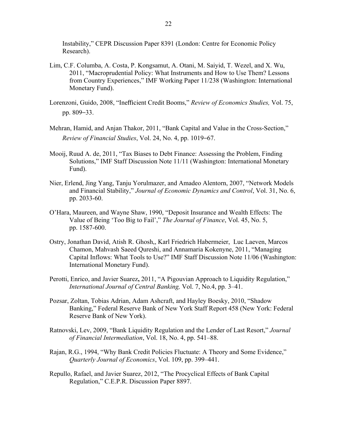Instability," CEPR Discussion Paper 8391 (London: Centre for Economic Policy Research).

- Lim, C.F. Columba, A. Costa, P. Kongsamut, A. Otani, M. Saiyid, T. Wezel, and X. Wu, 2011, "Macroprudential Policy: What Instruments and How to Use Them? Lessons from Country Experiences," IMF Working Paper 11/238 (Washington: International Monetary Fund).
- Lorenzoni, Guido, 2008, "Inefficient Credit Booms," *Review of Economics Studies,* Vol. 75, pp. 809–33.
- Mehran, Hamid, and Anjan Thakor, 2011, "Bank Capital and Value in the Cross-Section," *Review of Financial Studies*, Vol. 24, No. 4, pp. 1019–67.
- Mooij, Ruud A. de, 2011, "Tax Biases to Debt Finance: Assessing the Problem, Finding Solutions," IMF Staff Discussion Note 11/11 (Washington: International Monetary Fund).
- Nier, Erlend, Jing Yang, Tanju Yorulmazer, and Amadeo Alentorn, 2007, "Network Models and Financial Stability," *Journal of Economic Dynamics and Control*, Vol. 31, No. 6, pp. 2033-60.
- O'Hara, Maureen, and Wayne Shaw, 1990, "Deposit Insurance and Wealth Effects: The Value of Being 'Too Big to Fail'," *The Journal of Finance*, Vol. 45, No. 5, pp. 1587-600.
- Ostry, Jonathan David, Atish R. Ghosh,, Karl Friedrich Habermeier, Luc Laeven, Marcos Chamon, Mahvash Saeed Qureshi, and Annamaria Kokenyne, 2011, "Managing Capital Inflows: What Tools to Use?" IMF Staff Discussion Note 11/06 (Washington: International Monetary Fund).
- Perotti, Enrico, and Javier Suarez**,** 2011, "A Pigouvian Approach to Liquidity Regulation," *International Journal of Central Banking,* Vol. 7, No.4, pp*.* 3–41.
- Pozsar, Zoltan, Tobias Adrian, Adam Ashcraft, and Hayley Boesky, 2010, "Shadow Banking," Federal Reserve Bank of New York Staff Report 458 (New York: Federal Reserve Bank of New York).
- Ratnovski, Lev, 2009, "Bank Liquidity Regulation and the Lender of Last Resort," *Journal of Financial Intermediation*, Vol. 18, No. 4, pp. 541–88.
- Rajan, R.G., 1994, "Why Bank Credit Policies Fluctuate: A Theory and Some Evidence," *Quarterly Journal of Economics*, Vol. 109, pp. 399–441.
- Repullo, Rafael, and Javier Suarez, 2012, "The Procyclical Effects of Bank Capital Regulation," C.E.P.R. Discussion Paper 8897.